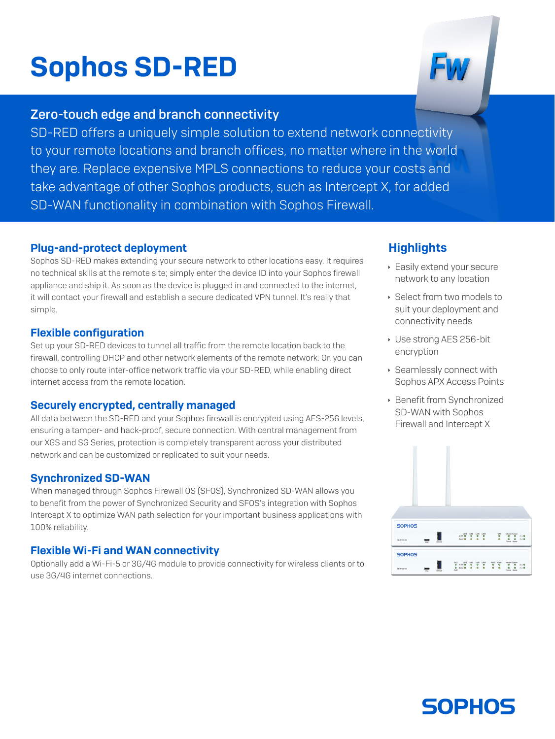# Sophos SD-RED

## Zero-touch edge and branch connectivity

SD-RED offers a uniquely simple solution to extend network connectivity to your remote locations and branch offices, no matter where in the world they are. Replace expensive MPLS connections to reduce your costs and take advantage of other Sophos products, such as Intercept X, for added SD-WAN functionality in combination with Sophos Firewall.

#### Plug-and-protect deployment

Sophos SD-RED makes extending your secure network to other locations easy. It requires no technical skills at the remote site; simply enter the device ID into your Sophos firewall appliance and ship it. As soon as the device is plugged in and connected to the internet, it will contact your firewall and establish a secure dedicated VPN tunnel. It's really that simple.

#### Flexible configuration

Set up your SD-RED devices to tunnel all traffic from the remote location back to the firewall, controlling DHCP and other network elements of the remote network. Or, you can choose to only route inter-office network traffic via your SD-RED, while enabling direct internet access from the remote location.

#### Securely encrypted, centrally managed

All data between the SD-RED and your Sophos firewall is encrypted using AES-256 levels, ensuring a tamper- and hack-proof, secure connection. With central management from our XGS and SG Series, protection is completely transparent across your distributed network and can be customized or replicated to suit your needs.

#### Synchronized SD-WAN

When managed through Sophos Firewall OS (SFOS), Synchronized SD-WAN allows you to benefit from the power of Synchronized Security and SFOS's integration with Sophos Intercept X to optimize WAN path selection for your important business applications with 100% reliability.

#### Flexible Wi-Fi and WAN connectivity

Optionally add a Wi-Fi-5 or 3G/4G module to provide connectivity for wireless clients or to use 3G/4G internet connections.

### **Highlights**

- **Easily extend your secure** network to any location
- **Select from two models to** suit your deployment and connectivity needs
- **Use strong AES 256-bit** encryption
- **Seamlessly connect with** Sophos APX Access Points
- **Benefit from Synchronized** SD-WAN with Sophos Firewall and Intercept X



**SOPHOS**